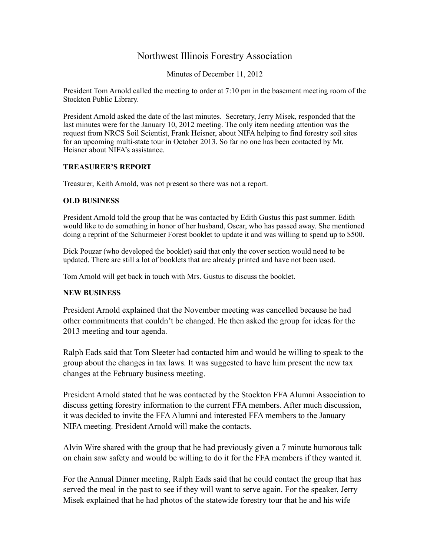## Northwest Illinois Forestry Association

Minutes of December 11, 2012

President Tom Arnold called the meeting to order at 7:10 pm in the basement meeting room of the Stockton Public Library.

President Arnold asked the date of the last minutes. Secretary, Jerry Misek, responded that the last minutes were for the January 10, 2012 meeting. The only item needing attention was the request from NRCS Soil Scientist, Frank Heisner, about NIFA helping to find forestry soil sites for an upcoming multi-state tour in October 2013. So far no one has been contacted by Mr. Heisner about NIFA's assistance.

## **TREASURER'S REPORT**

Treasurer, Keith Arnold, was not present so there was not a report.

## **OLD BUSINESS**

President Arnold told the group that he was contacted by Edith Gustus this past summer. Edith would like to do something in honor of her husband, Oscar, who has passed away. She mentioned doing a reprint of the Schurmeier Forest booklet to update it and was willing to spend up to \$500.

Dick Pouzar (who developed the booklet) said that only the cover section would need to be updated. There are still a lot of booklets that are already printed and have not been used.

Tom Arnold will get back in touch with Mrs. Gustus to discuss the booklet.

## **NEW BUSINESS**

President Arnold explained that the November meeting was cancelled because he had other commitments that couldn't be changed. He then asked the group for ideas for the 2013 meeting and tour agenda.

Ralph Eads said that Tom Sleeter had contacted him and would be willing to speak to the group about the changes in tax laws. It was suggested to have him present the new tax changes at the February business meeting.

President Arnold stated that he was contacted by the Stockton FFA Alumni Association to discuss getting forestry information to the current FFA members. After much discussion, it was decided to invite the FFA Alumni and interested FFA members to the January NIFA meeting. President Arnold will make the contacts.

Alvin Wire shared with the group that he had previously given a 7 minute humorous talk on chain saw safety and would be willing to do it for the FFA members if they wanted it.

For the Annual Dinner meeting, Ralph Eads said that he could contact the group that has served the meal in the past to see if they will want to serve again. For the speaker, Jerry Misek explained that he had photos of the statewide forestry tour that he and his wife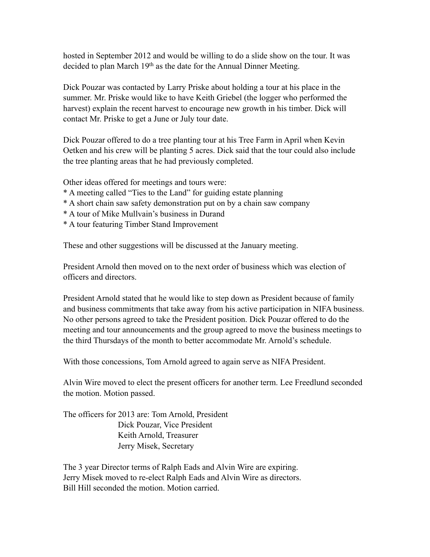hosted in September 2012 and would be willing to do a slide show on the tour. It was decided to plan March 19<sup>th</sup> as the date for the Annual Dinner Meeting.

Dick Pouzar was contacted by Larry Priske about holding a tour at his place in the summer. Mr. Priske would like to have Keith Griebel (the logger who performed the harvest) explain the recent harvest to encourage new growth in his timber. Dick will contact Mr. Priske to get a June or July tour date.

Dick Pouzar offered to do a tree planting tour at his Tree Farm in April when Kevin Oetken and his crew will be planting 5 acres. Dick said that the tour could also include the tree planting areas that he had previously completed.

Other ideas offered for meetings and tours were:

- \* A meeting called "Ties to the Land" for guiding estate planning
- \* A short chain saw safety demonstration put on by a chain saw company
- \* A tour of Mike Mullvain's business in Durand
- \* A tour featuring Timber Stand Improvement

These and other suggestions will be discussed at the January meeting.

President Arnold then moved on to the next order of business which was election of officers and directors.

President Arnold stated that he would like to step down as President because of family and business commitments that take away from his active participation in NIFA business. No other persons agreed to take the President position. Dick Pouzar offered to do the meeting and tour announcements and the group agreed to move the business meetings to the third Thursdays of the month to better accommodate Mr. Arnold's schedule.

With those concessions, Tom Arnold agreed to again serve as NIFA President.

Alvin Wire moved to elect the present officers for another term. Lee Freedlund seconded the motion. Motion passed.

The officers for 2013 are: Tom Arnold, President Dick Pouzar, Vice President Keith Arnold, Treasurer Jerry Misek, Secretary

The 3 year Director terms of Ralph Eads and Alvin Wire are expiring. Jerry Misek moved to re-elect Ralph Eads and Alvin Wire as directors. Bill Hill seconded the motion. Motion carried.